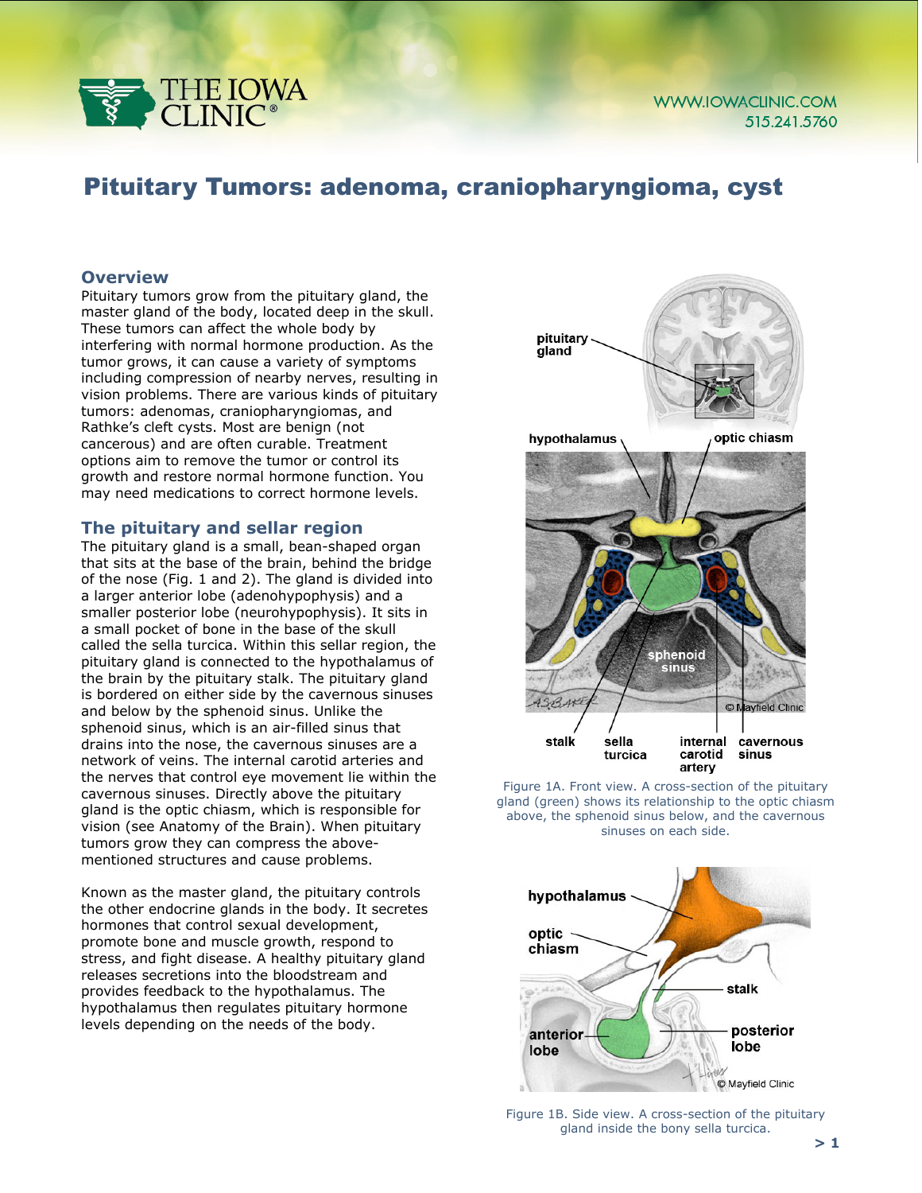

# Pituitary Tumors: adenoma, craniopharyngioma, cyst

#### **Overview**

Pituitary tumors grow from the pituitary gland, the master gland of the body, located deep in the skull. These tumors can affect the whole body by interfering with normal hormone production. As the tumor grows, it can cause a variety of symptoms including compression of nearby nerves, resulting in vision problems. There are various kinds of pituitary tumors: adenomas, craniopharyngiomas, and Rathke's cleft cysts. Most are benign (not cancerous) and are often curable. Treatment options aim to remove the tumor or control its growth and restore normal hormone function. You may need medications to correct hormone levels.

#### **The pituitary and sellar region**

The pituitary gland is a small, bean-shaped organ that sits at the base of the brain, behind the bridge of the nose (Fig. 1 and 2). The gland is divided into a larger anterior lobe (adenohypophysis) and a smaller posterior lobe (neurohypophysis). It sits in a small pocket of bone in the base of the skull called the sella turcica. Within this sellar region, the pituitary gland is connected to the hypothalamus of the brain by the pituitary stalk. The pituitary gland is bordered on either side by the cavernous sinuses and below by the sphenoid sinus. Unlike the sphenoid sinus, which is an air-filled sinus that drains into the nose, the cavernous sinuses are a network of veins. The internal carotid arteries and the nerves that control eye movement lie within the cavernous sinuses. Directly above the pituitary gland is the optic chiasm, which is responsible for vision (see Anatomy of the Brain). When pituitary tumors grow they can compress the abovementioned structures and cause problems.

Known as the master gland, the pituitary controls the other endocrine glands in the body. It secretes hormones that control sexual development, promote bone and muscle growth, respond to stress, and fight disease. A healthy pituitary gland releases secretions into the bloodstream and provides feedback to the hypothalamus. The hypothalamus then regulates pituitary hormone levels depending on the needs of the body.



Figure 1A. Front view. A cross-section of the pituitary gland (green) shows its relationship to the optic chiasm above, the sphenoid sinus below, and the cavernous sinuses on each side.



Figure 1B. Side view. A cross-section of the pituitary gland inside the bony sella turcica.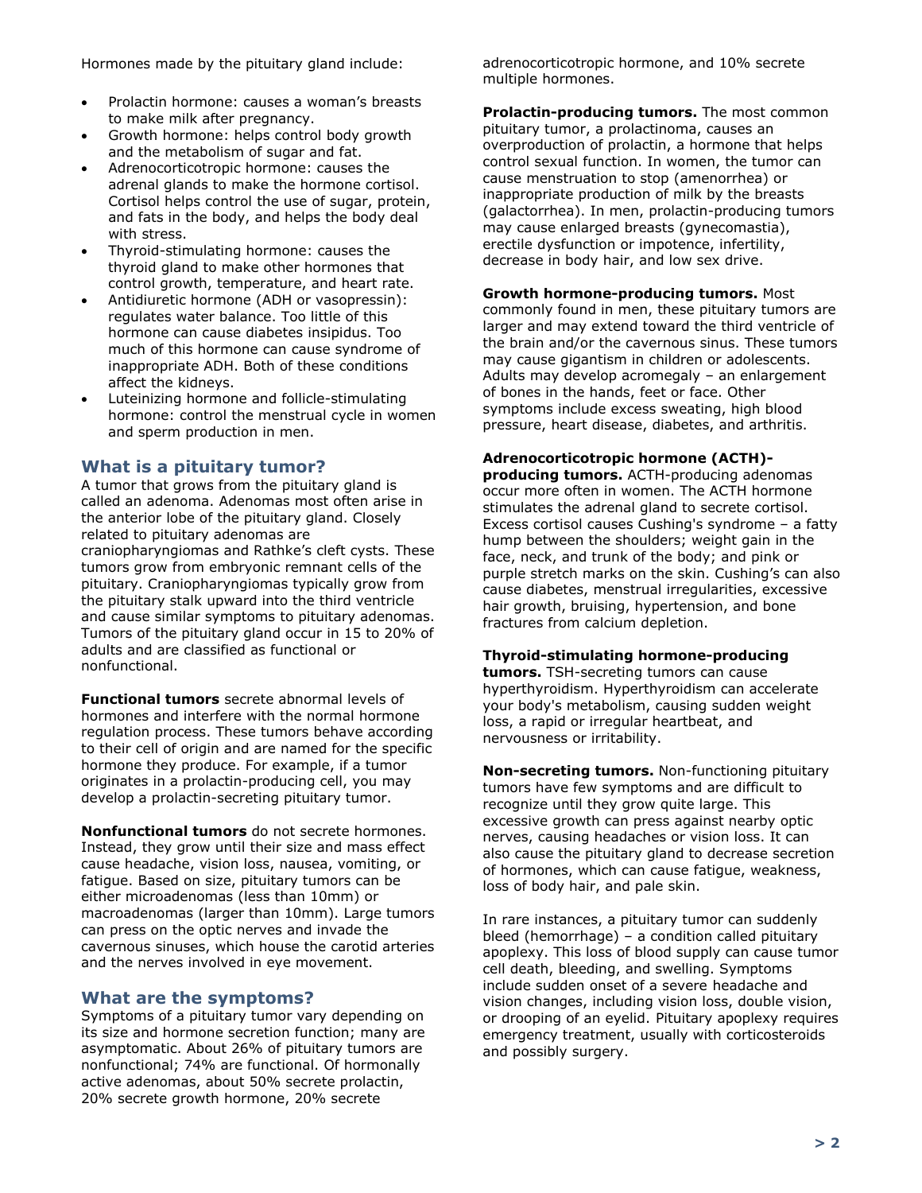Hormones made by the pituitary gland include:

- Prolactin hormone: causes a woman's breasts to make milk after pregnancy.
- Growth hormone: helps control body growth and the metabolism of sugar and fat.
- Adrenocorticotropic hormone: causes the adrenal glands to make the hormone cortisol. Cortisol helps control the use of sugar, protein, and fats in the body, and helps the body deal with stress.
- Thyroid-stimulating hormone: causes the thyroid gland to make other hormones that control growth, temperature, and heart rate.
- Antidiuretic hormone (ADH or vasopressin): regulates water balance. Too little of this hormone can cause diabetes insipidus. Too much of this hormone can cause syndrome of inappropriate ADH. Both of these conditions affect the kidneys.
- Luteinizing hormone and follicle-stimulating hormone: control the menstrual cycle in women and sperm production in men.

## **What is a pituitary tumor?**

A tumor that grows from the pituitary gland is called an adenoma. Adenomas most often arise in the anterior lobe of the pituitary gland. Closely related to pituitary adenomas are craniopharyngiomas and Rathke's cleft cysts. These tumors grow from embryonic remnant cells of the pituitary. Craniopharyngiomas typically grow from the pituitary stalk upward into the third ventricle and cause similar symptoms to pituitary adenomas. Tumors of the pituitary gland occur in 15 to 20% of adults and are classified as functional or nonfunctional.

**Functional tumors** secrete abnormal levels of hormones and interfere with the normal hormone regulation process. These tumors behave according to their cell of origin and are named for the specific hormone they produce. For example, if a tumor originates in a prolactin-producing cell, you may develop a prolactin-secreting pituitary tumor.

**Nonfunctional tumors** do not secrete hormones. Instead, they grow until their size and mass effect cause headache, vision loss, nausea, vomiting, or fatigue. Based on size, pituitary tumors can be either microadenomas (less than 10mm) or macroadenomas (larger than 10mm). Large tumors can press on the optic nerves and invade the cavernous sinuses, which house the carotid arteries and the nerves involved in eye movement.

## **What are the symptoms?**

Symptoms of a pituitary tumor vary depending on its size and hormone secretion function; many are asymptomatic. About 26% of pituitary tumors are nonfunctional; 74% are functional. Of hormonally active adenomas, about 50% secrete prolactin, 20% secrete growth hormone, 20% secrete

adrenocorticotropic hormone, and 10% secrete multiple hormones.

**Prolactin-producing tumors.** The most common pituitary tumor, a prolactinoma, causes an overproduction of prolactin, a hormone that helps control sexual function. In women, the tumor can cause menstruation to stop (amenorrhea) or inappropriate production of milk by the breasts (galactorrhea). In men, prolactin-producing tumors may cause enlarged breasts (gynecomastia), erectile dysfunction or impotence, infertility, decrease in body hair, and low sex drive.

## **Growth hormone-producing tumors.** Most

commonly found in men, these pituitary tumors are larger and may extend toward the third ventricle of the brain and/or the cavernous sinus. These tumors may cause gigantism in children or adolescents. Adults may develop acromegaly – an enlargement of bones in the hands, feet or face. Other symptoms include excess sweating, high blood pressure, heart disease, diabetes, and arthritis.

#### **Adrenocorticotropic hormone (ACTH)-**

**producing tumors.** ACTH-producing adenomas occur more often in women. The ACTH hormone stimulates the adrenal gland to secrete cortisol. Excess cortisol causes Cushing's syndrome – a fatty hump between the shoulders; weight gain in the face, neck, and trunk of the body; and pink or purple stretch marks on the skin. Cushing's can also cause diabetes, menstrual irregularities, excessive hair growth, bruising, hypertension, and bone fractures from calcium depletion.

#### **Thyroid-stimulating hormone-producing**

**tumors.** TSH-secreting tumors can cause hyperthyroidism. Hyperthyroidism can accelerate your body's metabolism, causing sudden weight loss, a rapid or irregular heartbeat, and nervousness or irritability.

**Non-secreting tumors.** Non-functioning pituitary tumors have few symptoms and are difficult to recognize until they grow quite large. This excessive growth can press against nearby optic nerves, causing headaches or vision loss. It can also cause the pituitary gland to decrease secretion of hormones, which can cause fatigue, weakness, loss of body hair, and pale skin.

In rare instances, a pituitary tumor can suddenly bleed (hemorrhage) – a condition called pituitary apoplexy. This loss of blood supply can cause tumor cell death, bleeding, and swelling. Symptoms include sudden onset of a severe headache and vision changes, including vision loss, double vision, or drooping of an eyelid. Pituitary apoplexy requires emergency treatment, usually with corticosteroids and possibly surgery.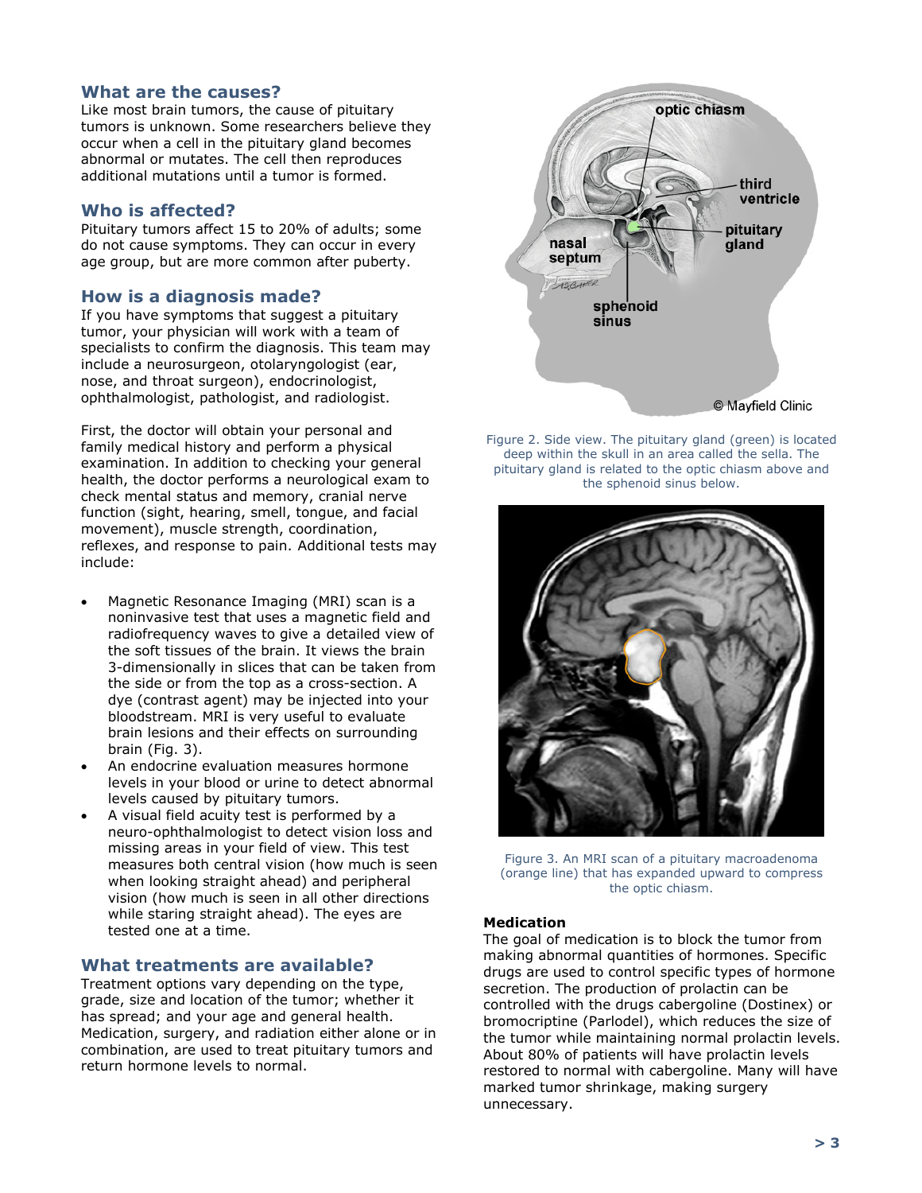## **What are the causes?**

Like most brain tumors, the cause of pituitary tumors is unknown. Some researchers believe they occur when a cell in the pituitary gland becomes abnormal or mutates. The cell then reproduces additional mutations until a tumor is formed.

### **Who is affected?**

Pituitary tumors affect 15 to 20% of adults; some do not cause symptoms. They can occur in every age group, but are more common after puberty.

### **How is a diagnosis made?**

If you have symptoms that suggest a pituitary tumor, your physician will work with a team of specialists to confirm the diagnosis. This team may include a neurosurgeon, otolaryngologist (ear, nose, and throat surgeon), endocrinologist, ophthalmologist, pathologist, and radiologist.

First, the doctor will obtain your personal and family medical history and perform a physical examination. In addition to checking your general health, the doctor performs a neurological exam to check mental status and memory, cranial nerve function (sight, hearing, smell, tongue, and facial movement), muscle strength, coordination, reflexes, and response to pain. Additional tests may include:

- Magnetic Resonance Imaging (MRI) scan is a noninvasive test that uses a magnetic field and radiofrequency waves to give a detailed view of the soft tissues of the brain. It views the brain 3-dimensionally in slices that can be taken from the side or from the top as a cross-section. A dye (contrast agent) may be injected into your bloodstream. MRI is very useful to evaluate brain lesions and their effects on surrounding brain (Fig. 3).
- An endocrine evaluation measures hormone levels in your blood or urine to detect abnormal levels caused by pituitary tumors.
- A visual field acuity test is performed by a neuro-ophthalmologist to detect vision loss and missing areas in your field of view. This test measures both central vision (how much is seen when looking straight ahead) and peripheral vision (how much is seen in all other directions while staring straight ahead). The eyes are tested one at a time.

## **What treatments are available?**

Treatment options vary depending on the type, grade, size and location of the tumor; whether it has spread; and your age and general health. Medication, surgery, and radiation either alone or in combination, are used to treat pituitary tumors and return hormone levels to normal.



Figure 2. Side view. The pituitary gland (green) is located deep within the skull in an area called the sella. The pituitary gland is related to the optic chiasm above and the sphenoid sinus below.



Figure 3. An MRI scan of a pituitary macroadenoma (orange line) that has expanded upward to compress the optic chiasm.

#### **Medication**

The goal of medication is to block the tumor from making abnormal quantities of hormones. Specific drugs are used to control specific types of hormone secretion. The production of prolactin can be controlled with the drugs cabergoline (Dostinex) or bromocriptine (Parlodel), which reduces the size of the tumor while maintaining normal prolactin levels. About 80% of patients will have prolactin levels restored to normal with cabergoline. Many will have marked tumor shrinkage, making surgery unnecessary.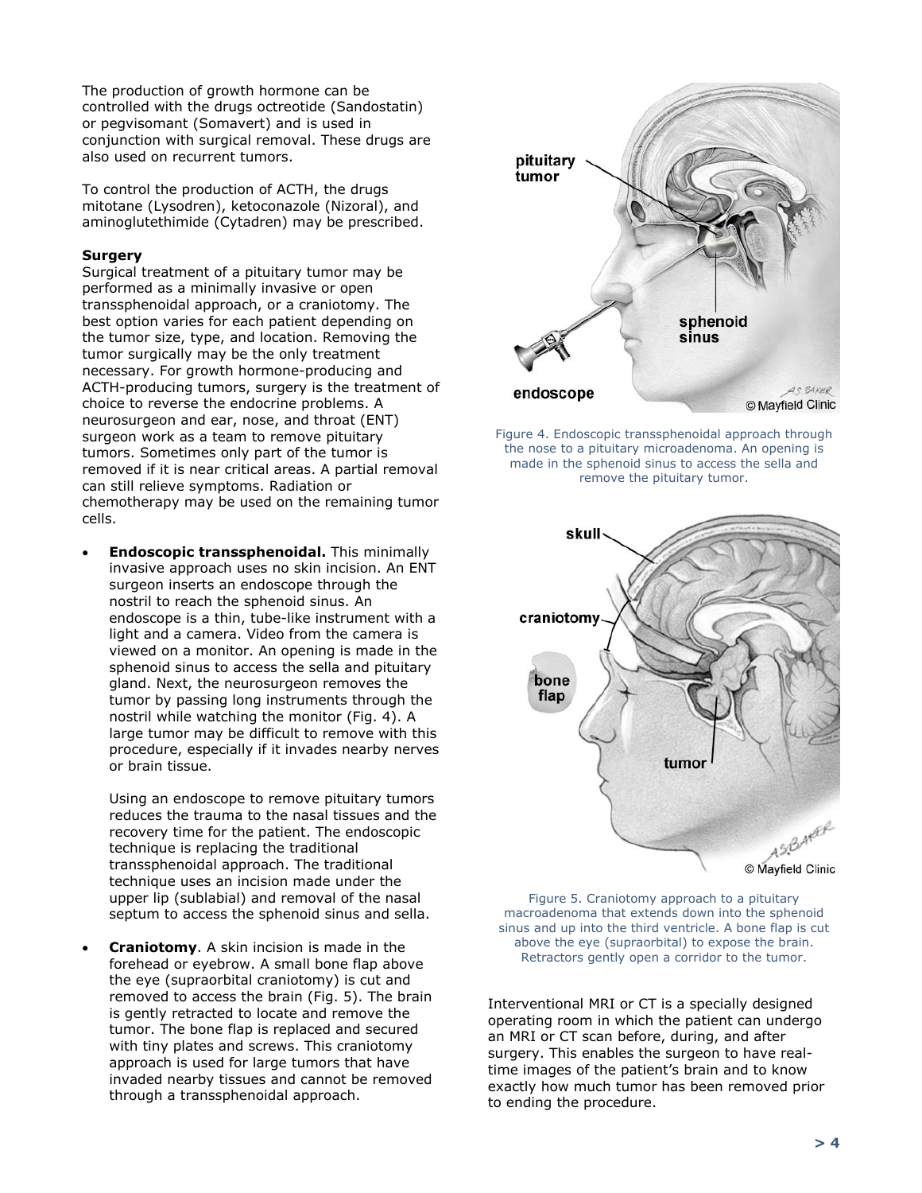The production of growth hormone can be controlled with the drugs octreotide (Sandostatin) or pegvisomant (Somavert) and is used in conjunction with surgical removal. These drugs are also used on recurrent tumors.

To control the production of ACTH, the drugs mitotane (Lysodren), ketoconazole (Nizoral), and aminoglutethimide (Cytadren) may be prescribed.

#### **Surgery**

Surgical treatment of a pituitary tumor may be performed as a minimally invasive or open transsphenoidal approach, or a craniotomy. The best option varies for each patient depending on the tumor size, type, and location. Removing the tumor surgically may be the only treatment necessary. For growth hormone-producing and ACTH-producing tumors, surgery is the treatment of choice to reverse the endocrine problems. A neurosurgeon and ear, nose, and throat (ENT) surgeon work as a team to remove pituitary tumors. Sometimes only part of the tumor is removed if it is near critical areas. A partial removal can still relieve symptoms. Radiation or chemotherapy may be used on the remaining tumor cells.

• **Endoscopic transsphenoidal.** This minimally invasive approach uses no skin incision. An ENT surgeon inserts an endoscope through the nostril to reach the sphenoid sinus. An endoscope is a thin, tube-like instrument with a light and a camera. Video from the camera is viewed on a monitor. An opening is made in the sphenoid sinus to access the sella and pituitary gland. Next, the neurosurgeon removes the tumor by passing long instruments through the nostril while watching the monitor (Fig. 4). A large tumor may be difficult to remove with this procedure, especially if it invades nearby nerves or brain tissue.

Using an endoscope to remove pituitary tumors reduces the trauma to the nasal tissues and the recovery time for the patient. The endoscopic technique is replacing the traditional transsphenoidal approach. The traditional technique uses an incision made under the upper lip (sublabial) and removal of the nasal septum to access the sphenoid sinus and sella.

• **Craniotomy**. A skin incision is made in the forehead or eyebrow. A small bone flap above the eye (supraorbital craniotomy) is cut and removed to access the brain (Fig. 5). The brain is gently retracted to locate and remove the tumor. The bone flap is replaced and secured with tiny plates and screws. This craniotomy approach is used for large tumors that have invaded nearby tissues and cannot be removed through a transsphenoidal approach.



Figure 4. Endoscopic transsphenoidal approach through the nose to a pituitary microadenoma. An opening is made in the sphenoid sinus to access the sella and remove the pituitary tumor.



Figure 5. Craniotomy approach to a pituitary macroadenoma that extends down into the sphenoid sinus and up into the third ventricle. A bone flap is cut above the eye (supraorbital) to expose the brain. Retractors gently open a corridor to the tumor.

Interventional MRI or CT is a specially designed operating room in which the patient can undergo an MRI or CT scan before, during, and after surgery. This enables the surgeon to have realtime images of the patient's brain and to know exactly how much tumor has been removed prior to ending the procedure.